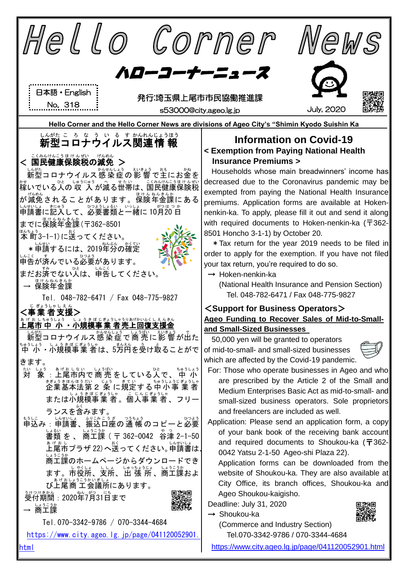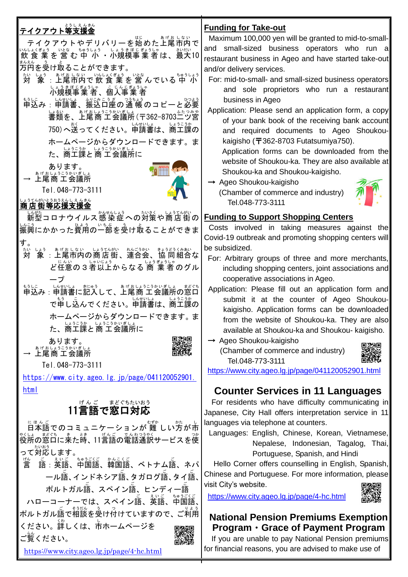| とうしえんきん<br>テイクアウト等支援金<br>テイクアウトやデリバリーを始めた上尾市内で<br>いんよくぎょう いとな ちゅうしょう しょうきぼじぎょうしゃ さいだい いだい いたない さんじょう いたい 10<br>万円を受け取ることができます。<br>ちゅうしょう<br>対<br>象<br>しょうきぼじぎょうしゃ  こ じんじぎょうしゃ<br><b>小規模事業 者 、個人事業 者</b><br>もして、しいせいは、 ジョンドングランド<br>申込み : 申請書、振込口座の通 帳 のコピーと必要<br>」。<br>書類を、上尾商 工会議所 (〒362-8703二ツ宮<br>ホームページからダウンロードできます。ま<br>た、商工課と商工会議所に<br>あります。<br>→ ᢧげおしょうこうかいぎしょ                                                                                                                                                           | <b>Funding for Take-out</b><br>Maximum 100,000 yen will be granted to mid-to-small-<br>and small-sized business operators who run a<br>restaurant business in Ageo and have started take-out<br>and/or delivery services.<br>For: mid-to-small- and small-sized business operators<br>and sole proprietors who run a restaurant<br>business in Ageo<br>Application: Please send an application form, a copy<br>of your bank book of the receiving bank account<br>and required documents to Ageo Shoukou-<br>kaigisho ( $\overline{T}$ 362-8703 Futatsumiya750).<br>Application forms can be downloaded from the<br>website of Shoukou-ka. They are also available at<br>Shoukou-ka and Shoukou-kaigisho.<br>$\rightarrow$ Ageo Shoukou-kaigisho |
|---------------------------------------------------------------------------------------------------------------------------------------------------------------------------------------------------------------------------------------------------------------------------------------------------------------------------------------------------------------------------------------------------------------------------------------------------------------------------------------------------------------------------------|--------------------------------------------------------------------------------------------------------------------------------------------------------------------------------------------------------------------------------------------------------------------------------------------------------------------------------------------------------------------------------------------------------------------------------------------------------------------------------------------------------------------------------------------------------------------------------------------------------------------------------------------------------------------------------------------------------------------------------------------------|
| Tel. 048-773-3111<br>いまうてんがいとうおうえんし えんきん<br> 商店街等応援支援金                                                                                                                                                                                                                                                                                                                                                                                                                                                                          | (Chamber of commerce and industry)<br>Tel.048-773-3111                                                                                                                                                                                                                                                                                                                                                                                                                                                                                                                                                                                                                                                                                           |
| 长*** コロナウイルス感染症への対策や商店街の<br>   <u>*ミ</u><br> 振興にかかった費用の一部を受け取ることができま<br>す。<br>ᅓ<br><b>対</b><br>しょう。ぁゖぉしない。しょうてんがい。れんごうかい。 きょうどうくみあい<br>ど任意の3者以上からなる <sup>はぅ*ぉぅ</sup> ょ。<br>ど任意の3者以上からなる 商 業 者のグル<br>もうに、、いないは、また。<br>申込み : 申請書に記入して、上尾商 工会議所の窓口<br>で申し込んでください。単請書は、商工課の<br>ホームページからダウンロードできます。ま<br>しょうこうか しょうこうかいぎしょ<br>た、商工課と商工会議所に<br>あります。<br>ぁゖぉしょぅこぅゕぃぎしょ<br><b>上尾商 工会</b> 議所<br>Tel. 048-773-3111<br>$\frac{https://www.city. ageo. Ig.jp/page/041120052901.}{https://www.city. ageo. Ig. jp/page/041120052901.}$<br>html | <b>Funding to Support Shopping Centers</b><br>Costs involved in taking measures against the<br>Covid-19 outbreak and promoting shopping centers will<br>be subsidized.<br>For: Arbitrary groups of three and more merchants,<br>including shopping centers, joint associations and<br>cooperative associations in Ageo.<br>Application: Please fill out an application form and<br>submit it at the counter of Ageo Shoukou-<br>kaigisho. Application forms can be downloaded<br>from the website of Shoukou-ka. They are also<br>available at Shoukou-ka and Shoukou- kaigisho.<br>$\rightarrow$ Ageo Shoukou-kaigisho<br>(Chamber of commerce and industry)<br>Tel.048-773-3111<br>https://www.city.ageo.lg.jp/page/041120052901.html          |
| 11言語で窓口対応<br>。<br>役所の窓口に来た時、11言語の電話通訳サービスを使<br>一ル語、インドネシア語、タガログ語、タイ語、<br>ポルトガル語、スペイン語、ヒンディー語<br>ハローコーナーでは、スペイン語、英語、中国語、<br><sub> </sub> ポルトガル語で相談を受け付けていますので、ご利用                                                                                                                                                                                                                                                                                                                                                                | <b>Counter Services in 11 Languages</b><br>For residents who have difficulty communicating in<br>Japanese, City Hall offers interpretation service in 11<br>languages via telephone at counters.<br>Languages: English, Chinese, Korean, Vietnamese,<br>Nepalese, Indonesian, Tagalog, Thai,<br>Portuguese, Spanish, and Hindi<br>Hello Corner offers counselling in English, Spanish,<br>Chinese and Portuguese. For more information, please<br>visit City's website.<br>https://www.city.ageo.lg.jp/page/4-hc.html                                                                                                                                                                                                                            |
| ください。詳しくは、市ホームページを<br>ご覧ください。<br>https://www.city.ageo.lg.jp/page/4-hc.html                                                                                                                                                                                                                                                                                                                                                                                                                                                     | <b>National Pension Premiums Exemption</b><br>Program • Grace of Payment Program<br>If you are unable to pay National Pension premiums<br>for financial reasons, you are advised to make use of                                                                                                                                                                                                                                                                                                                                                                                                                                                                                                                                                  |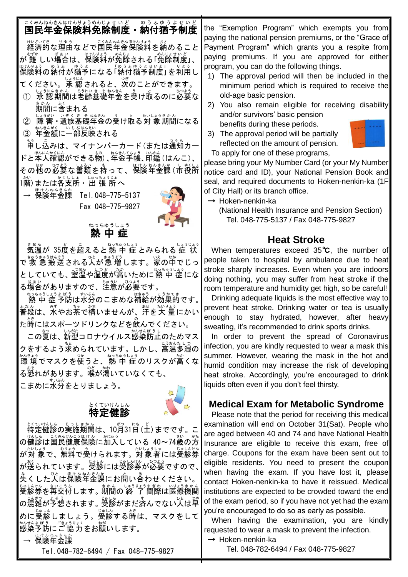## こくみねんきんほけんりょうめんじょせいど のうふゆうよせいど<br>国民年金保険料免除制度・納付猶予制度

<sub>けいざいてき</sub><br>経済的な理由などで国民年金保険料を納めること が 難 むずか しい場合 ばあい は、保険料 ほけんりょう が免除 めんじょ される「免除 めんじょ 制度 せいど 」、 保険料 ほけんりょう の納付 のうふ が猶予 ゆうよ になる「 「 納付 のうふ 猶予 ゆうよ 制度 せいど 」 」 を利用 りよう し てください。承認されると、。。。<br>てください。承 認されると、次のことができます。

- ① 承認認期間は老齢基礎年金を受け取るのに必要な <u>。</u><br>期間に含まれる
- ② 障害 遺族基礎年金の受け取る対 象期間になる ③ 『<sup>なきんがく</sup>』 いちぶはんぷい<br>③ 年金額に一部反映される
- 

<u>。</u><br>申し込みは、マイナンバーカード(または通知カー ドと本人確認ができる物)、年金手帳、印鑑 (はんこ)、 その他の必要な書類を持って、保険年金課(市役所) 1階)または各支所・出 張 所へ

— <sup>康け</sup>後<sup>なんを</sup>課 Tel.048-775-5137 Fax 048-775-9827



# <u>ゅっちゅうしょう</u><br>**熱中症**

まもん<br>気温が 35度を超えると 熱 中 症 とみられる 症 状 で 救 急 搬 送 される人が急 増 します。家の中でじっ としていても、室温や湿度が高いために熱 中 症にな ■ «ぁぃ<br>る場合がありますので、注意が必要です。

ねっちゅうしょう ぼう まいぶん<br>|熱 中 症 予防は水分のこまめな補給が効果的です。| 普段 ふだん は、水 みず やお茶 ちゃ で構 かま いませんが、汗 あせ を大 量 たいりょう にかい た時にはスポーツドリンクなどを飲んでください。

この夏は、新型コロナウイルス感染防止のためマス クをするよう求められています。しかし、高温多湿の ゕ{きょぅ<br>環 境でマスクを使うと、熱 中 症 のリスクが高くな る愨れがあります。喉が瀉いていなくても、 こまめに水分をとりましょう。

#### 特定 健 診 とくていけんしん



<u>ょくていたしょ。しょまん</u><br>特定健診の実施期間は、10月31日 (土) までです。こ <sub>の健診は国民健康保険に加入している 40~74歳の方</sub> が対 象 たいしょう で、無料 むりょう で受 う けられます。対象者 たいしょうしゃ には受診券 じゅしんけん が送 おく られています。受診 じゅしん には受診券 じゅしんけん が必要 ひつよう ですので、 、。<br>失くした人は保険年金課にお問い合わせください。 <sub>じゅしんけん</sub> きぃこう。<br>受診券を再交付します。期間の 終 了 間際は医療機関  *こ。。。*<br>の混雑が予想されます。 受診がまだ済んでない人は早 めに受診しましょう。受診する時は、マスクをして \*^セ^ょぼう こきょうりょく しゅ。<br>感染予防にご 協力をお願いします。 → <sup>ほけんねんきんか</sup>

Tel.048-782-6494 / Fax 048-775-9827

the "Exemption Program" which exempts you from paying the national pension premiums, or the "Grace of Payment Program" which grants you a respite from paying premiums. If you are approved for either program, you can do the following things.

- 1) The approval period will then be included in the minimum period which is required to receive the old-age basic pension.
- 2) You also remain eligible for receiving disability and/or survivors' basic pension benefits during these periods.
- 3) The approval period will be partially reflected on the amount of pension. To apply for one of these programs,

please bring your My Number Card (or your My Number notice card and ID), your National Pension Book and seal, and required documents to Hoken-nenkin-ka (1F of City Hall) or its branch office.

- → Hoken-nenkin-ka
	- (National Health Insurance and Pension Section) Tel. 048-775-5137 / Fax 048-775-9827

#### **Heat Stroke**

When temperatures exceed 35℃, the number of people taken to hospital by ambulance due to heat stroke sharply increases. Even when you are indoors doing nothing, you may suffer from heat stroke if the room temperature and humidity get high, so be careful!

Drinking adequate liquids is the most effective way to prevent heat stroke. Drinking water or tea is usually enough to stay hydrated, however, after heavy sweating, it's recommended to drink sports drinks.

In order to prevent the spread of Coronavirus infection, you are kindly requested to wear a mask this summer. However, wearing the mask in the hot and humid condition may increase the risk of developing heat stroke. Accordingly, you're encouraged to drink liquids often even if you don't feel thirsty.

#### **Medical Exam for Metabolic Syndrome**

Please note that the period for receiving this medical examination will end on October 31(Sat). People who are aged between 40 and 74 and have National Health Insurance are eligible to receive this exam, free of charge. Coupons for the exam have been sent out to eligible residents. You need to present the coupon when having the exam. If you have lost it, please contact Hoken-nenkin-ka to have it reissued. Medical institutions are expected to be crowded toward the end of the exam period, so if you have not yet had the exam you're encouraged to do so as early as possible.

When having the examination, you are kindly requested to wear a mask to prevent the infection.

→ Hoken-nenkin-ka

Tel. 048-782-6494 / Fax 048-775-9827